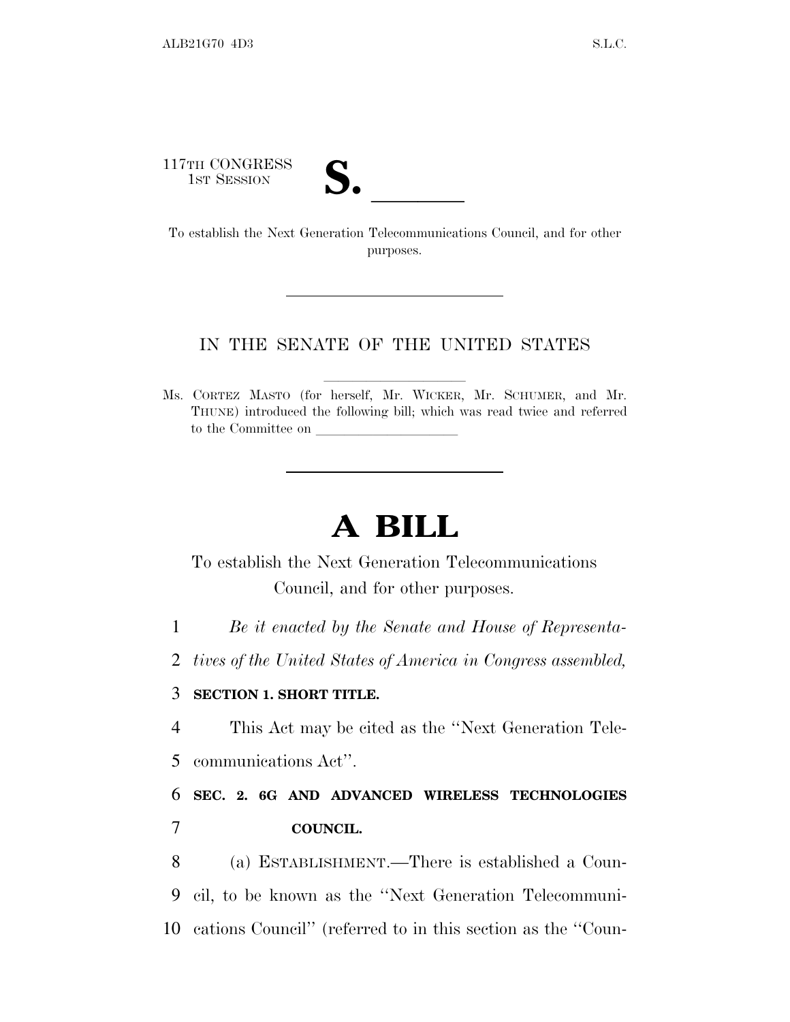117TH CONGRESS

17TH CONGRESS<br>
1ST SESSION<br>
To establish the Next Generation Telecommunications Council, and for other purposes.

## IN THE SENATE OF THE UNITED STATES

Ms. CORTEZ MASTO (for herself, Mr. WICKER, Mr. SCHUMER, and Mr. THUNE) introduced the following bill; which was read twice and referred to the Committee on

## **A BILL**

To establish the Next Generation Telecommunications Council, and for other purposes.

1 *Be it enacted by the Senate and House of Representa-*

2 *tives of the United States of America in Congress assembled,*

## 3 **SECTION 1. SHORT TITLE.**

4 This Act may be cited as the ''Next Generation Tele-5 communications Act''.

6 **SEC. 2. 6G AND ADVANCED WIRELESS TECHNOLOGIES** 7 **COUNCIL.**

8 (a) ESTABLISHMENT.—There is established a Coun-9 cil, to be known as the ''Next Generation Telecommuni-10 cations Council'' (referred to in this section as the ''Coun-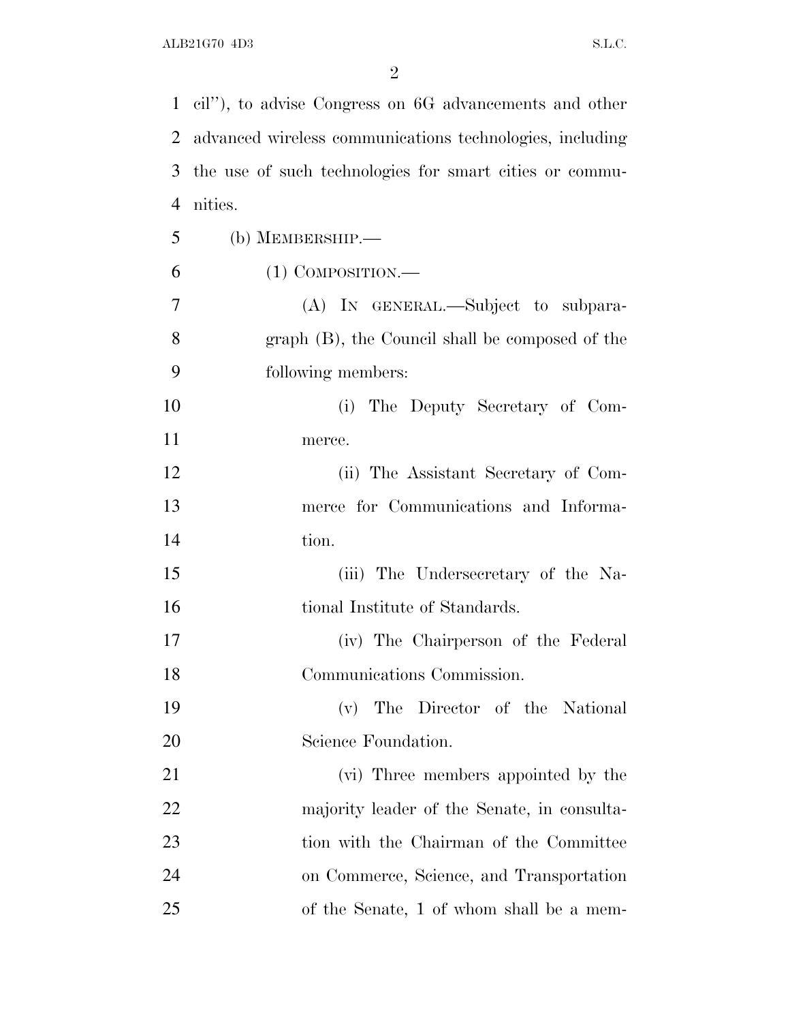|    | 1 cil"), to advise Congress on 6G advancements and other |
|----|----------------------------------------------------------|
| 2  | advanced wireless communications technologies, including |
| 3  | the use of such technologies for smart cities or commu-  |
| 4  | nities.                                                  |
| 5  | (b) MEMBERSHIP.-                                         |
| 6  | $(1)$ COMPOSITION.—                                      |
| 7  | (A) IN GENERAL.—Subject to subpara-                      |
| 8  | graph (B), the Council shall be composed of the          |
| 9  | following members:                                       |
| 10 | The Deputy Secretary of Com-<br>(i)                      |
| 11 | merce.                                                   |
| 12 | (ii) The Assistant Secretary of Com-                     |
| 13 | merce for Communications and Informa-                    |
| 14 | tion.                                                    |
| 15 | (iii) The Undersecretary of the Na-                      |
| 16 | tional Institute of Standards.                           |
| 17 | (iv) The Chairperson of the Federal                      |
| 18 | Communications Commission.                               |
| 19 | The Director of the National<br>(v)                      |
| 20 | Science Foundation.                                      |
| 21 | (vi) Three members appointed by the                      |
| 22 | majority leader of the Senate, in consulta-              |
| 23 | tion with the Chairman of the Committee                  |
| 24 | on Commerce, Science, and Transportation                 |
| 25 | of the Senate, 1 of whom shall be a mem-                 |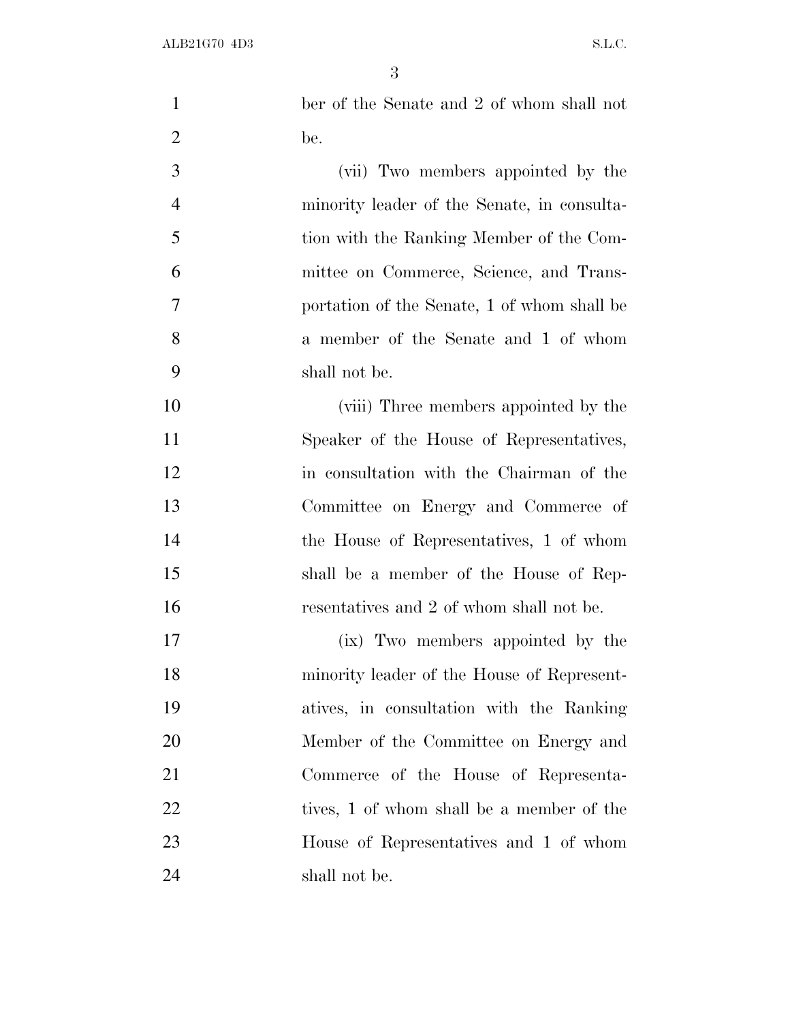| $\mathbf{1}$   | ber of the Senate and 2 of whom shall not   |
|----------------|---------------------------------------------|
| $\overline{2}$ | be.                                         |
| 3              | (vii) Two members appointed by the          |
| $\overline{4}$ | minority leader of the Senate, in consulta- |
| 5              | tion with the Ranking Member of the Com-    |
| 6              | mittee on Commerce, Science, and Trans-     |
| $\overline{7}$ | portation of the Senate, 1 of whom shall be |
| 8              | a member of the Senate and 1 of whom        |
| 9              | shall not be.                               |
| 10             | (viii) Three members appointed by the       |
| 11             | Speaker of the House of Representatives,    |
| 12             | in consultation with the Chairman of the    |
| 13             | Committee on Energy and Commerce of         |
| 14             | the House of Representatives, 1 of whom     |
| 15             | shall be a member of the House of Rep-      |
| 16             | resentatives and 2 of whom shall not be.    |
| 17             | (ix) Two members appointed by the           |
| 18             | minority leader of the House of Represent-  |
| 19             | atives, in consultation with the Ranking    |
| 20             | Member of the Committee on Energy and       |
| 21             | Commerce of the House of Representa-        |
| 22             | tives, 1 of whom shall be a member of the   |
| 23             | House of Representatives and 1 of whom      |
| 24             | shall not be.                               |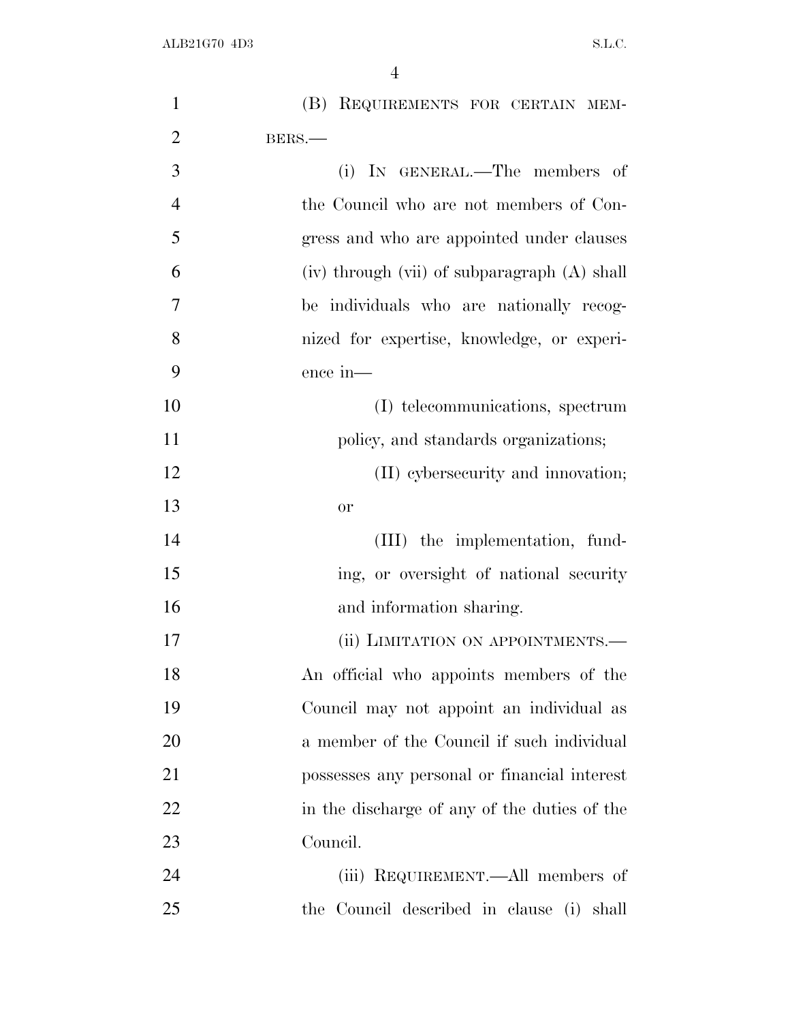| $\mathbf{1}$   | (B) REQUIREMENTS FOR CERTAIN MEM-            |
|----------------|----------------------------------------------|
| $\overline{2}$ | BERS.                                        |
| 3              | (i) IN GENERAL.—The members of               |
| $\overline{4}$ | the Council who are not members of Con-      |
| 5              | gress and who are appointed under clauses    |
| 6              | (iv) through (vii) of subparagraph (A) shall |
| 7              | be individuals who are nationally recog-     |
| 8              | nized for expertise, knowledge, or experi-   |
| 9              | ence in-                                     |
| 10             | (I) telecommunications, spectrum             |
| 11             | policy, and standards organizations;         |
| 12             | (II) cybersecurity and innovation;           |
| 13             | or                                           |
| 14             | (III) the implementation, fund-              |
| 15             | ing, or oversight of national security       |
| 16             | and information sharing.                     |
| 17             | (ii) LIMITATION ON APPOINTMENTS.—            |
| 18             | An official who appoints members of the      |
| 19             | Council may not appoint an individual as     |
| 20             | a member of the Council if such individual   |
| 21             | possesses any personal or financial interest |
| 22             | in the discharge of any of the duties of the |
| 23             | Council.                                     |
| 24             | (iii) REQUIREMENT.—All members of            |
| 25             | the Council described in clause (i) shall    |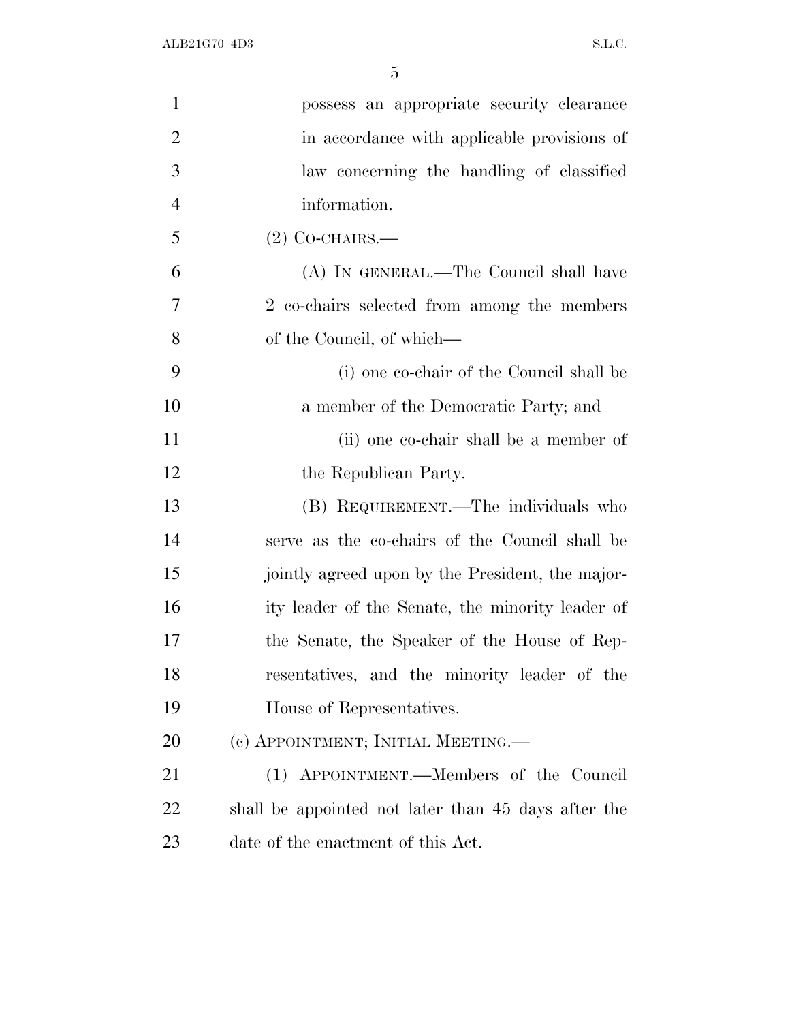| $\mathbf{1}$   | possess an appropriate security clearance           |
|----------------|-----------------------------------------------------|
| $\overline{2}$ | in accordance with applicable provisions of         |
| 3              | law concerning the handling of classified           |
| $\overline{4}$ | information.                                        |
| 5              | $(2)$ Co-CHAIRS.—                                   |
| 6              | (A) IN GENERAL.—The Council shall have              |
| 7              | 2 co-chairs selected from among the members         |
| 8              | of the Council, of which—                           |
| 9              | (i) one co-chair of the Council shall be            |
| 10             | a member of the Democratic Party; and               |
| 11             | (ii) one co-chair shall be a member of              |
| 12             | the Republican Party.                               |
| 13             | (B) REQUIREMENT.—The individuals who                |
| 14             | serve as the co-chairs of the Council shall be      |
| 15             | jointly agreed upon by the President, the major-    |
| 16             | ity leader of the Senate, the minority leader of    |
| 17             | the Senate, the Speaker of the House of Rep-        |
| 18             | resentatives, and the minority leader of the        |
| 19             | House of Representatives.                           |
| 20             | (c) APPOINTMENT; INITIAL MEETING.—                  |
| 21             | (1) APPOINTMENT.—Members of the Council             |
| 22             | shall be appointed not later than 45 days after the |
| 23             | date of the enactment of this Act.                  |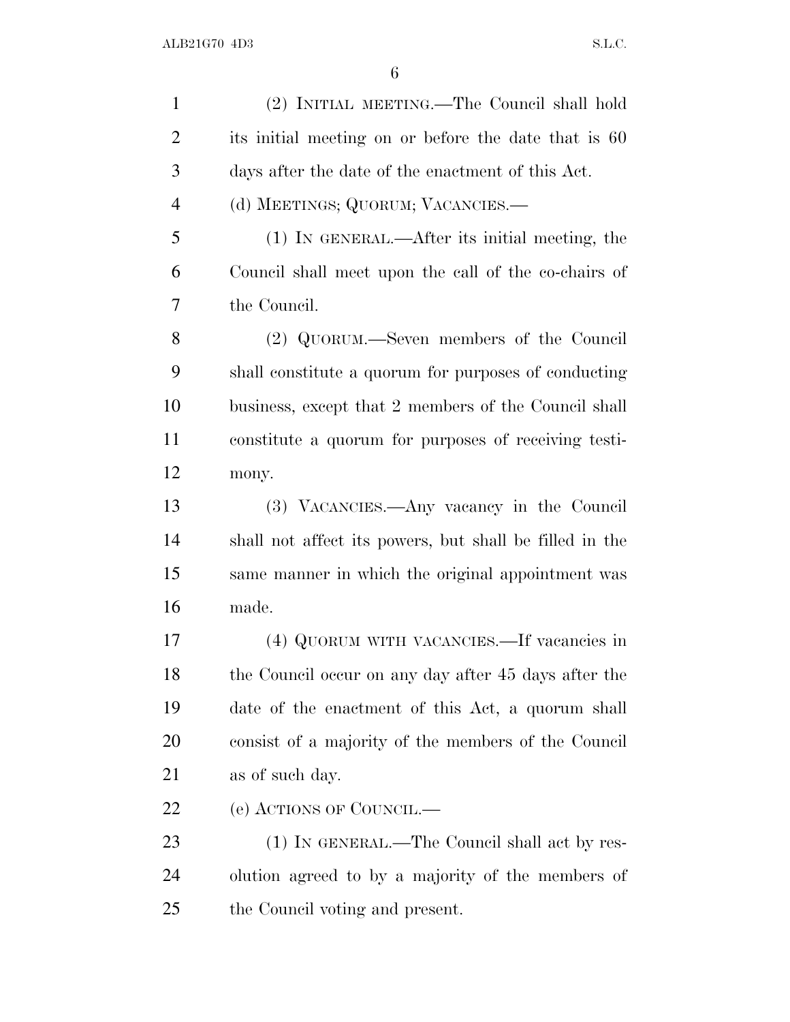(2) INITIAL MEETING.—The Council shall hold its initial meeting on or before the date that is 60 days after the date of the enactment of this Act. (d) MEETINGS; QUORUM; VACANCIES.— (1) IN GENERAL.—After its initial meeting, the Council shall meet upon the call of the co-chairs of the Council. (2) QUORUM.—Seven members of the Council shall constitute a quorum for purposes of conducting business, except that 2 members of the Council shall constitute a quorum for purposes of receiving testi- mony. (3) VACANCIES.—Any vacancy in the Council shall not affect its powers, but shall be filled in the same manner in which the original appointment was made. (4) QUORUM WITH VACANCIES.—If vacancies in the Council occur on any day after 45 days after the date of the enactment of this Act, a quorum shall consist of a majority of the members of the Council as of such day. (e) ACTIONS OF COUNCIL.— 23 (1) IN GENERAL.—The Council shall act by res- olution agreed to by a majority of the members of the Council voting and present.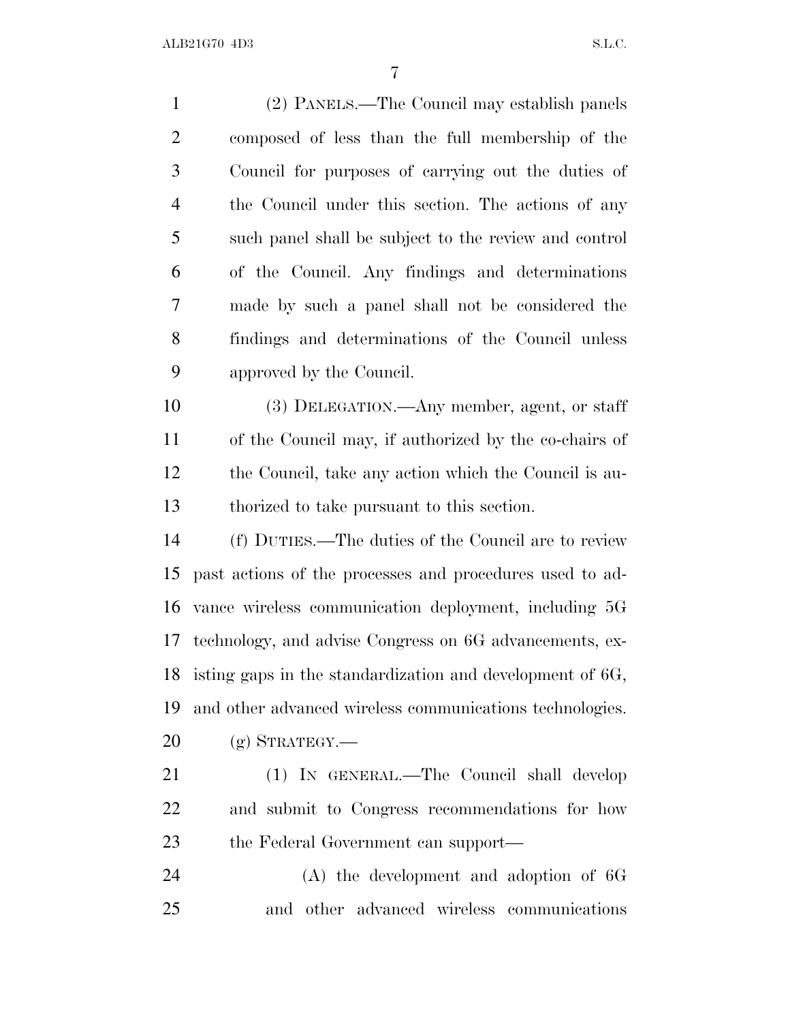(2) PANELS.—The Council may establish panels composed of less than the full membership of the Council for purposes of carrying out the duties of the Council under this section. The actions of any such panel shall be subject to the review and control of the Council. Any findings and determinations made by such a panel shall not be considered the findings and determinations of the Council unless approved by the Council. (3) DELEGATION.—Any member, agent, or staff of the Council may, if authorized by the co-chairs of the Council, take any action which the Council is au- thorized to take pursuant to this section. (f) DUTIES.—The duties of the Council are to review past actions of the processes and procedures used to ad- vance wireless communication deployment, including 5G technology, and advise Congress on 6G advancements, ex- isting gaps in the standardization and development of 6G, and other advanced wireless communications technologies.  $20 \quad$  (g) STRATEGY.— (1) IN GENERAL.—The Council shall develop and submit to Congress recommendations for how the Federal Government can support— (A) the development and adoption of 6G and other advanced wireless communications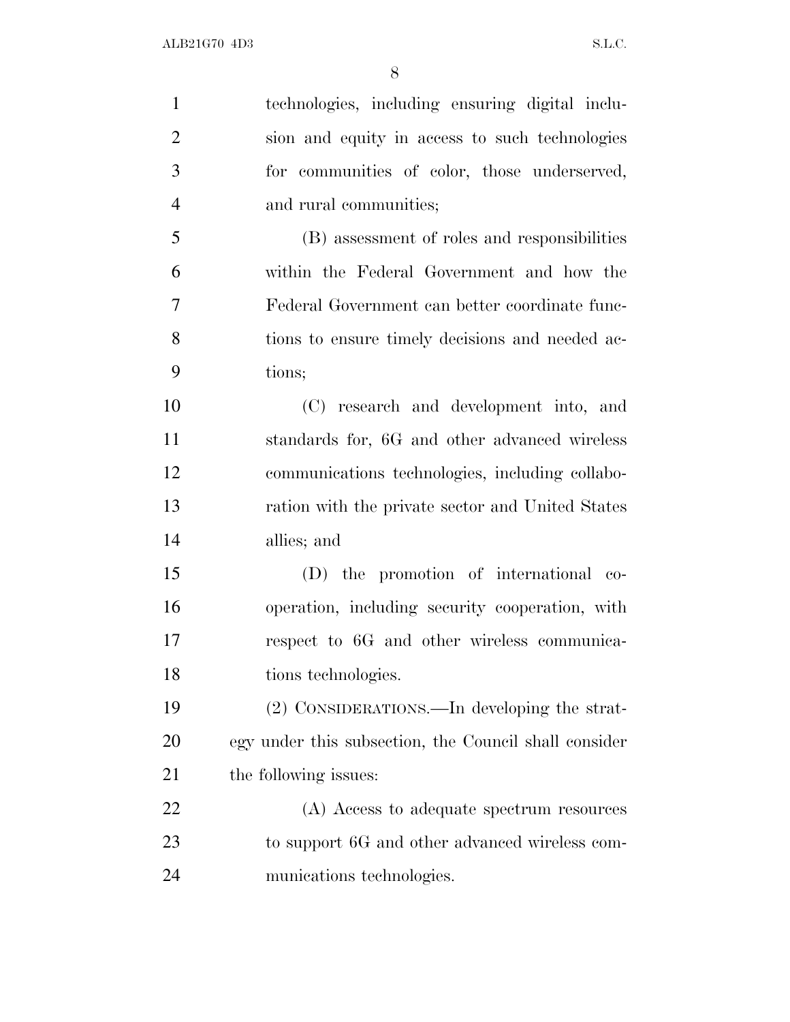| $\mathbf{1}$   | technologies, including ensuring digital inclu-       |
|----------------|-------------------------------------------------------|
| $\overline{2}$ | sion and equity in access to such technologies        |
| 3              | for communities of color, those underserved,          |
| $\overline{4}$ | and rural communities;                                |
| 5              | (B) assessment of roles and responsibilities          |
| 6              | within the Federal Government and how the             |
| $\overline{7}$ | Federal Government can better coordinate func-        |
| 8              | tions to ensure timely decisions and needed ac-       |
| 9              | tions;                                                |
| 10             | (C) research and development into, and                |
| 11             | standards for, 6G and other advanced wireless         |
| 12             | communications technologies, including collabo-       |
| 13             | ration with the private sector and United States      |
| 14             | allies; and                                           |
| 15             | (D) the promotion of international co-                |
| 16             | operation, including security cooperation, with       |
| 17             | respect to 6G and other wireless communica-           |
| 18             | tions technologies.                                   |
| 19             | (2) CONSIDERATIONS.—In developing the strat-          |
| 20             | egy under this subsection, the Council shall consider |
| 21             | the following issues:                                 |
| 22             | (A) Access to adequate spectrum resources             |
| 23             | to support 6G and other advanced wireless com-        |
| 24             | munications technologies.                             |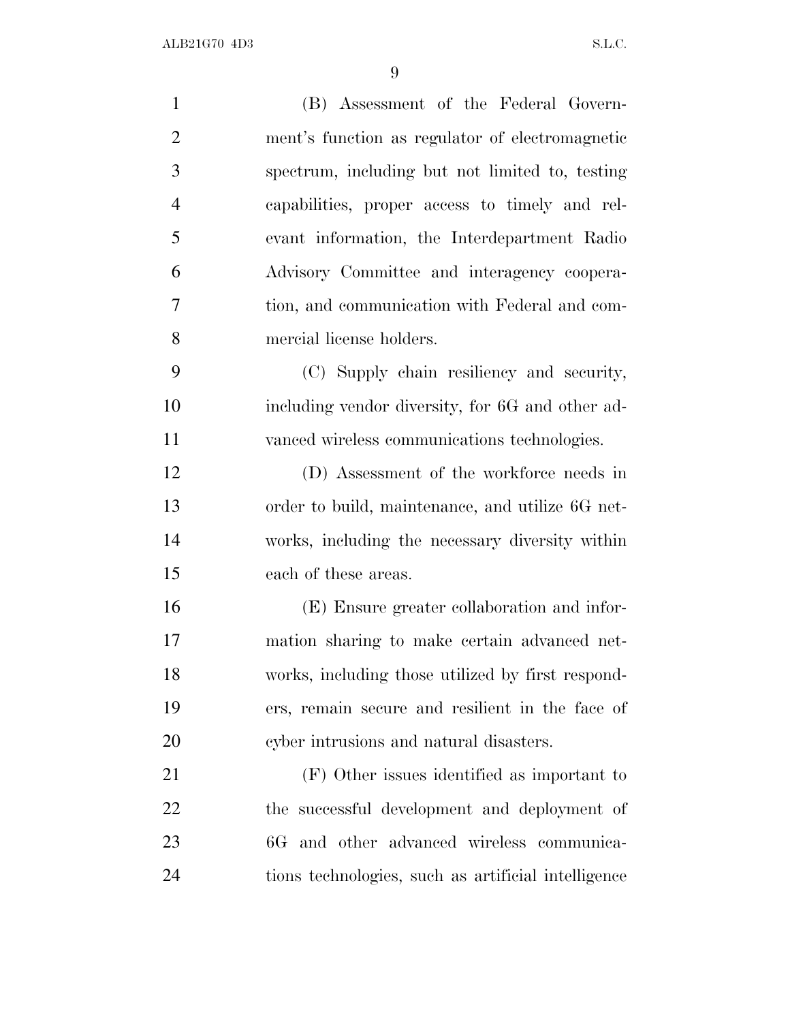| $\mathbf{1}$   | (B) Assessment of the Federal Govern-               |
|----------------|-----------------------------------------------------|
| $\overline{2}$ | ment's function as regulator of electromagnetic     |
| 3              | spectrum, including but not limited to, testing     |
| $\overline{4}$ | capabilities, proper access to timely and rel-      |
| 5              | evant information, the Interdepartment Radio        |
| 6              | Advisory Committee and interagency coopera-         |
| 7              | tion, and communication with Federal and com-       |
| 8              | mercial license holders.                            |
| 9              | (C) Supply chain resiliency and security,           |
| 10             | including vendor diversity, for 6G and other ad-    |
| 11             | vanced wireless communications technologies.        |
| 12             | (D) Assessment of the workforce needs in            |
| 13             | order to build, maintenance, and utilize 6G net-    |
| 14             | works, including the necessary diversity within     |
| 15             | each of these areas.                                |
| 16             | (E) Ensure greater collaboration and infor-         |
| 17             | mation sharing to make certain advanced net-        |
| 18             | works, including those utilized by first respond-   |
| 19             | ers, remain secure and resilient in the face of     |
| 20             | cyber intrusions and natural disasters.             |
| 21             | (F) Other issues identified as important to         |
| 22             | the successful development and deployment of        |
| 23             | 6G and other advanced wireless communica-           |
| 24             | tions technologies, such as artificial intelligence |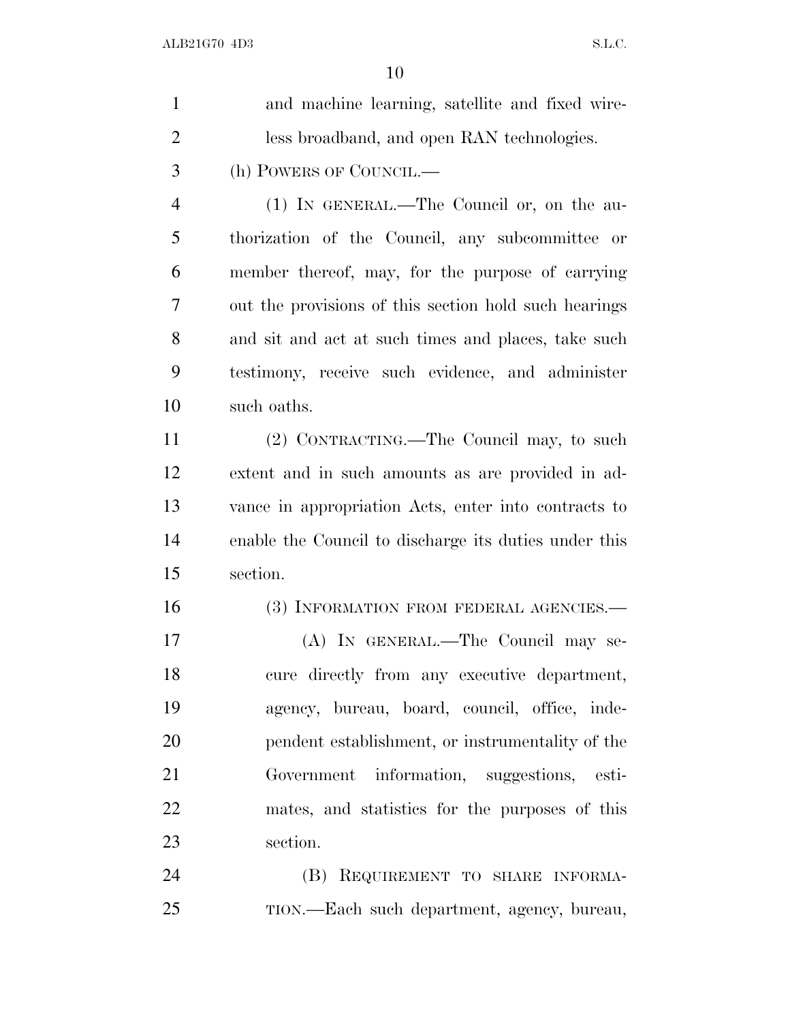| $\mathbf{1}$   | and machine learning, satellite and fixed wire-       |
|----------------|-------------------------------------------------------|
| $\overline{2}$ | less broadband, and open RAN technologies.            |
| 3              | (h) POWERS OF COUNCIL.—                               |
| $\overline{4}$ | (1) IN GENERAL.—The Council or, on the au-            |
| 5              | thorization of the Council, any subcommittee or       |
| 6              | member thereof, may, for the purpose of carrying      |
| 7              | out the provisions of this section hold such hearings |
| 8              | and sit and act at such times and places, take such   |
| 9              | testimony, receive such evidence, and administer      |
| 10             | such oaths.                                           |
| 11             | (2) CONTRACTING.—The Council may, to such             |
| 12             | extent and in such amounts as are provided in ad-     |
| 13             | vance in appropriation Acts, enter into contracts to  |
| 14             | enable the Council to discharge its duties under this |
| 15             | section.                                              |
| 16             | (3) INFORMATION FROM FEDERAL AGENCIES.—               |
| 17             | (A) IN GENERAL.—The Council may se-                   |
| 18             | cure directly from any executive department,          |
| 19             | agency, bureau, board, council, office, inde-         |
| 20             | pendent establishment, or instrumentality of the      |
| 21             | Government information, suggestions, esti-            |
| 22             | mates, and statistics for the purposes of this        |
| 23             | section.                                              |
| 24             | (B) REQUIREMENT TO SHARE INFORMA-                     |
| 25             | TION.—Each such department, agency, bureau,           |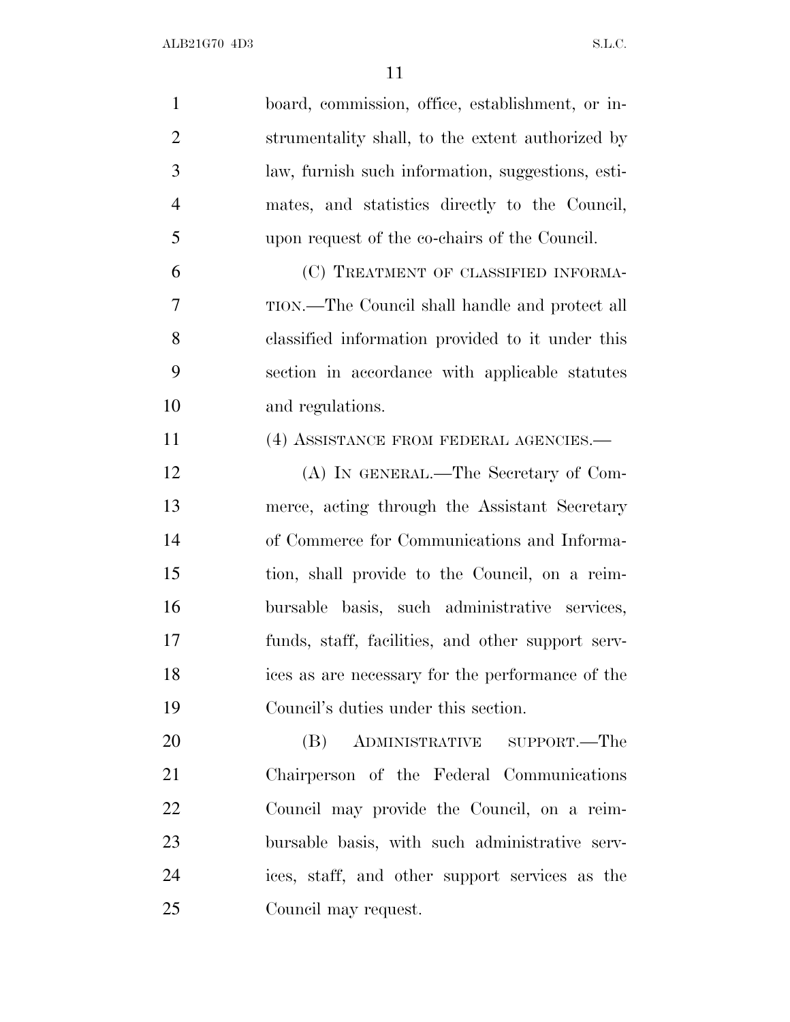| $\mathbf{1}$   | board, commission, office, establishment, or in-  |
|----------------|---------------------------------------------------|
| $\overline{2}$ | strumentality shall, to the extent authorized by  |
| 3              | law, furnish such information, suggestions, esti- |
| $\overline{4}$ | mates, and statistics directly to the Council,    |
| 5              | upon request of the co-chairs of the Council.     |
| 6              | (C) TREATMENT OF CLASSIFIED INFORMA-              |
| 7              | TION.—The Council shall handle and protect all    |
| 8              | classified information provided to it under this  |
| 9              | section in accordance with applicable statutes    |
| 10             | and regulations.                                  |
| 11             | (4) ASSISTANCE FROM FEDERAL AGENCIES.—            |
| 12             | (A) IN GENERAL.—The Secretary of Com-             |
| 13             | merce, acting through the Assistant Secretary     |
| 14             | of Commerce for Communications and Informa-       |
| 15             | tion, shall provide to the Council, on a reim-    |
| 16             | bursable basis, such administrative services,     |
| 17             | funds, staff, facilities, and other support serv- |
| 18             | ices as are necessary for the performance of the  |
| 19             | Council's duties under this section.              |
| 20             | ADMINISTRATIVE SUPPORT.—The<br>(B)                |
| 21             | Chairperson of the Federal Communications         |
| 22             | Council may provide the Council, on a reim-       |
| 23             | bursable basis, with such administrative serv-    |
| 24             | ices, staff, and other support services as the    |
| 25             | Council may request.                              |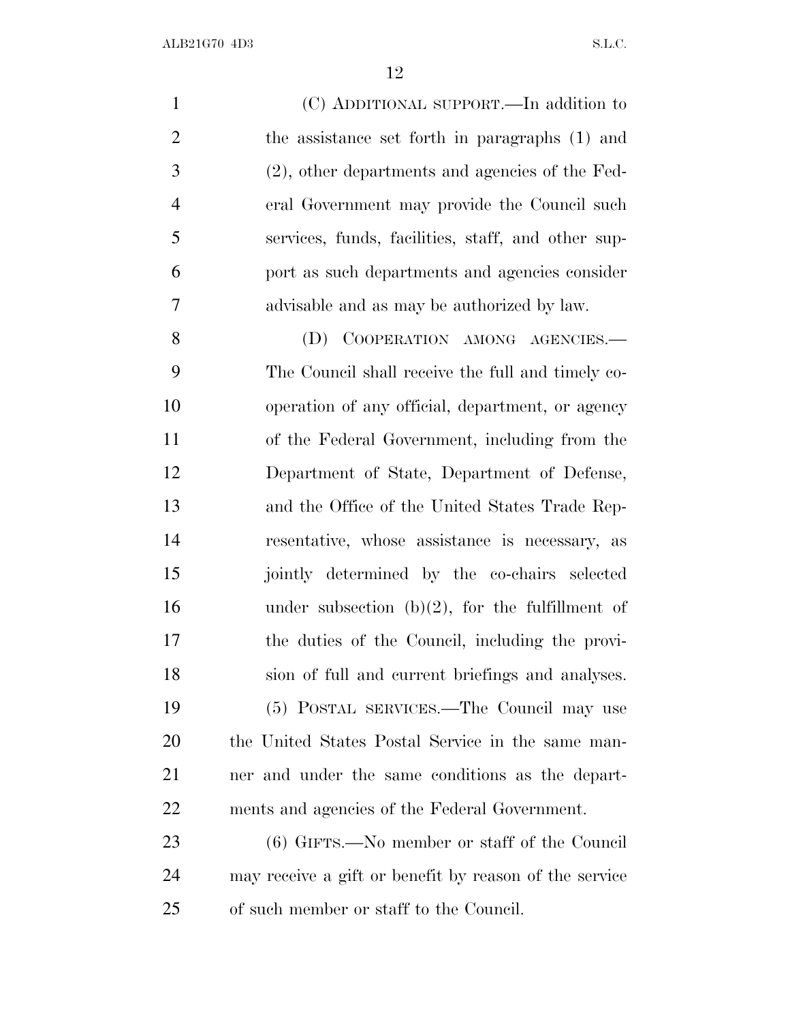| $\mathbf{1}$   | (C) ADDITIONAL SUPPORT.—In addition to                 |
|----------------|--------------------------------------------------------|
| $\overline{2}$ | the assistance set forth in paragraphs (1) and         |
| 3              | (2), other departments and agencies of the Fed-        |
| $\overline{4}$ | eral Government may provide the Council such           |
| 5              | services, funds, facilities, staff, and other sup-     |
| 6              | port as such departments and agencies consider         |
| 7              | advisable and as may be authorized by law.             |
| 8              | COOPERATION AMONG AGENCIES.<br>(D)                     |
| 9              | The Council shall receive the full and timely co-      |
| 10             | operation of any official, department, or agency       |
| 11             | of the Federal Government, including from the          |
| 12             | Department of State, Department of Defense,            |
| 13             | and the Office of the United States Trade Rep-         |
| 14             | resentative, whose assistance is necessary, as         |
| 15             | jointly determined by the co-chairs selected           |
| 16             | under subsection $(b)(2)$ , for the fulfillment of     |
| 17             | the duties of the Council, including the provi-        |
| 18             | sion of full and current briefings and analyses.       |
| 19             | (5) POSTAL SERVICES.—The Council may use               |
| 20             | the United States Postal Service in the same man-      |
| 21             | ner and under the same conditions as the depart-       |
| 22             | ments and agencies of the Federal Government.          |
| 23             | (6) GIFTS.—No member or staff of the Council           |
| 24             | may receive a gift or benefit by reason of the service |

of such member or staff to the Council.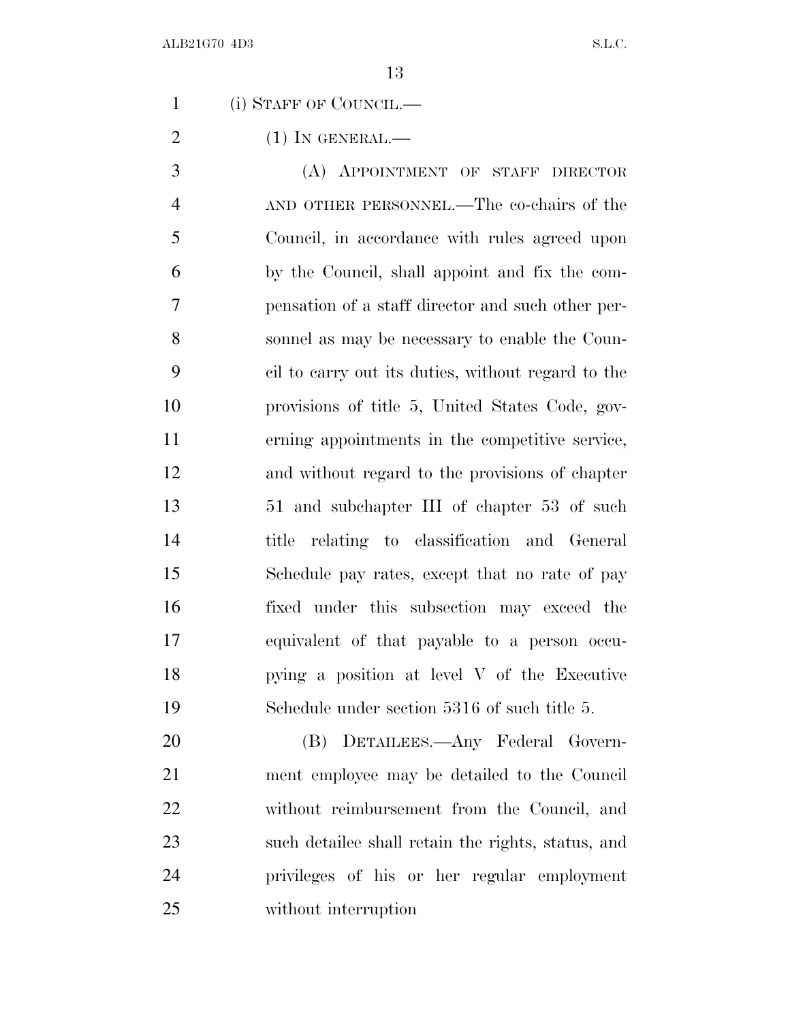(i) STAFF OF COUNCIL.—

(1) IN GENERAL.—

 (A) APPOINTMENT OF STAFF DIRECTOR AND OTHER PERSONNEL.—The co-chairs of the Council, in accordance with rules agreed upon by the Council, shall appoint and fix the com- pensation of a staff director and such other per- sonnel as may be necessary to enable the Coun- cil to carry out its duties, without regard to the provisions of title 5, United States Code, gov- erning appointments in the competitive service, and without regard to the provisions of chapter 51 and subchapter III of chapter 53 of such title relating to classification and General Schedule pay rates, except that no rate of pay fixed under this subsection may exceed the equivalent of that payable to a person occu- pying a position at level V of the Executive Schedule under section 5316 of such title 5.

 (B) DETAILEES.—Any Federal Govern- ment employee may be detailed to the Council without reimbursement from the Council, and such detailee shall retain the rights, status, and privileges of his or her regular employment without interruption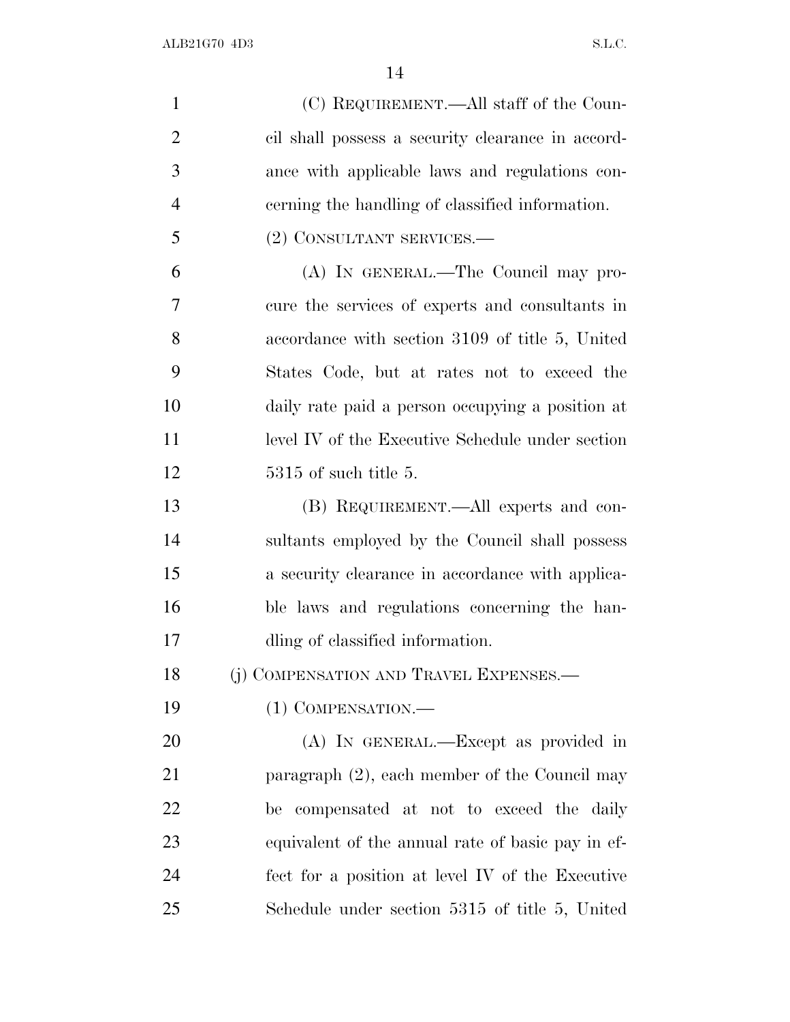ALB21G70 4D3 S.L.C.

| $\mathbf{1}$   | (C) REQUIREMENT.—All staff of the Coun-           |
|----------------|---------------------------------------------------|
| $\overline{2}$ | cil shall possess a security clearance in accord- |
| 3              | ance with applicable laws and regulations con-    |
| $\overline{4}$ | cerning the handling of classified information.   |
| 5              | (2) CONSULTANT SERVICES.—                         |
| 6              | (A) IN GENERAL.—The Council may pro-              |
| 7              | cure the services of experts and consultants in   |
| 8              | accordance with section 3109 of title 5, United   |
| 9              | States Code, but at rates not to exceed the       |
| 10             | daily rate paid a person occupying a position at  |
| 11             | level IV of the Executive Schedule under section  |
| 12             | $5315$ of such title 5.                           |
| 13             | (B) REQUIREMENT.—All experts and con-             |
| 14             | sultants employed by the Council shall possess    |
| 15             | a security clearance in accordance with applica-  |
| 16             | ble laws and regulations concerning the han-      |
| 17             | dling of classified information.                  |
| 18             | (j) COMPENSATION AND TRAVEL EXPENSES.-            |
| 19             | (1) COMPENSATION.—                                |
| 20             | (A) IN GENERAL.—Except as provided in             |
| 21             | paragraph $(2)$ , each member of the Council may  |
| 22             | be compensated at not to exceed the daily         |
| 23             | equivalent of the annual rate of basic pay in ef- |
| 24             | fect for a position at level IV of the Executive  |
| 25             | Schedule under section 5315 of title 5, United    |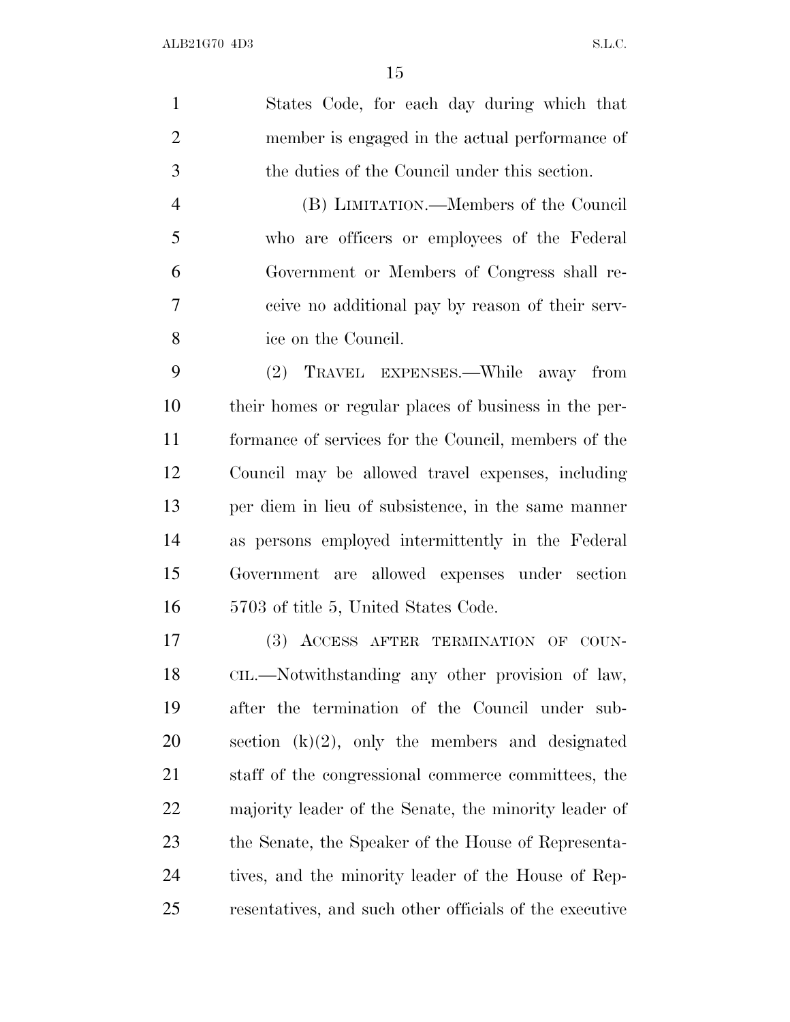States Code, for each day during which that member is engaged in the actual performance of the duties of the Council under this section. (B) LIMITATION.—Members of the Council who are officers or employees of the Federal Government or Members of Congress shall re- ceive no additional pay by reason of their serv- ice on the Council. (2) TRAVEL EXPENSES.—While away from their homes or regular places of business in the per- formance of services for the Council, members of the Council may be allowed travel expenses, including per diem in lieu of subsistence, in the same manner as persons employed intermittently in the Federal Government are allowed expenses under section 5703 of title 5, United States Code. (3) ACCESS AFTER TERMINATION OF COUN- CIL.—Notwithstanding any other provision of law, after the termination of the Council under sub-20 section  $(k)(2)$ , only the members and designated staff of the congressional commerce committees, the majority leader of the Senate, the minority leader of the Senate, the Speaker of the House of Representa- tives, and the minority leader of the House of Rep-resentatives, and such other officials of the executive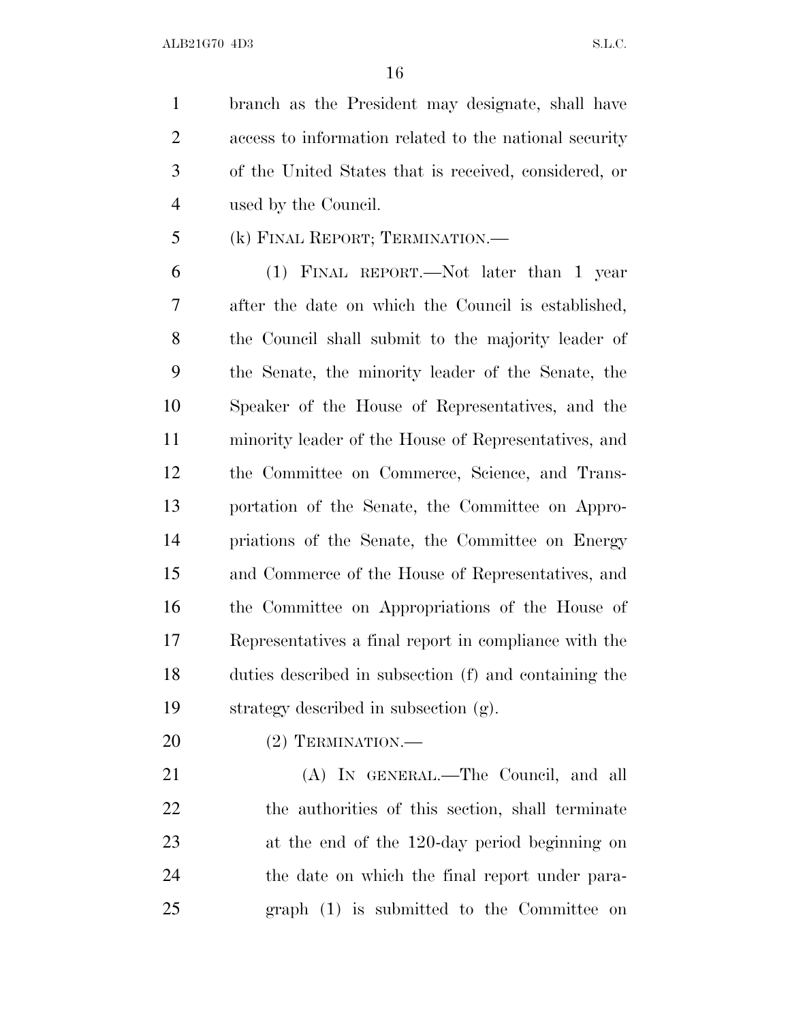branch as the President may designate, shall have access to information related to the national security of the United States that is received, considered, or used by the Council.

(k) FINAL REPORT; TERMINATION.—

 (1) FINAL REPORT.—Not later than 1 year after the date on which the Council is established, the Council shall submit to the majority leader of the Senate, the minority leader of the Senate, the Speaker of the House of Representatives, and the minority leader of the House of Representatives, and the Committee on Commerce, Science, and Trans- portation of the Senate, the Committee on Appro- priations of the Senate, the Committee on Energy and Commerce of the House of Representatives, and the Committee on Appropriations of the House of Representatives a final report in compliance with the duties described in subsection (f) and containing the strategy described in subsection (g).

(2) TERMINATION.—

 (A) IN GENERAL.—The Council, and all the authorities of this section, shall terminate at the end of the 120-day period beginning on the date on which the final report under para-graph (1) is submitted to the Committee on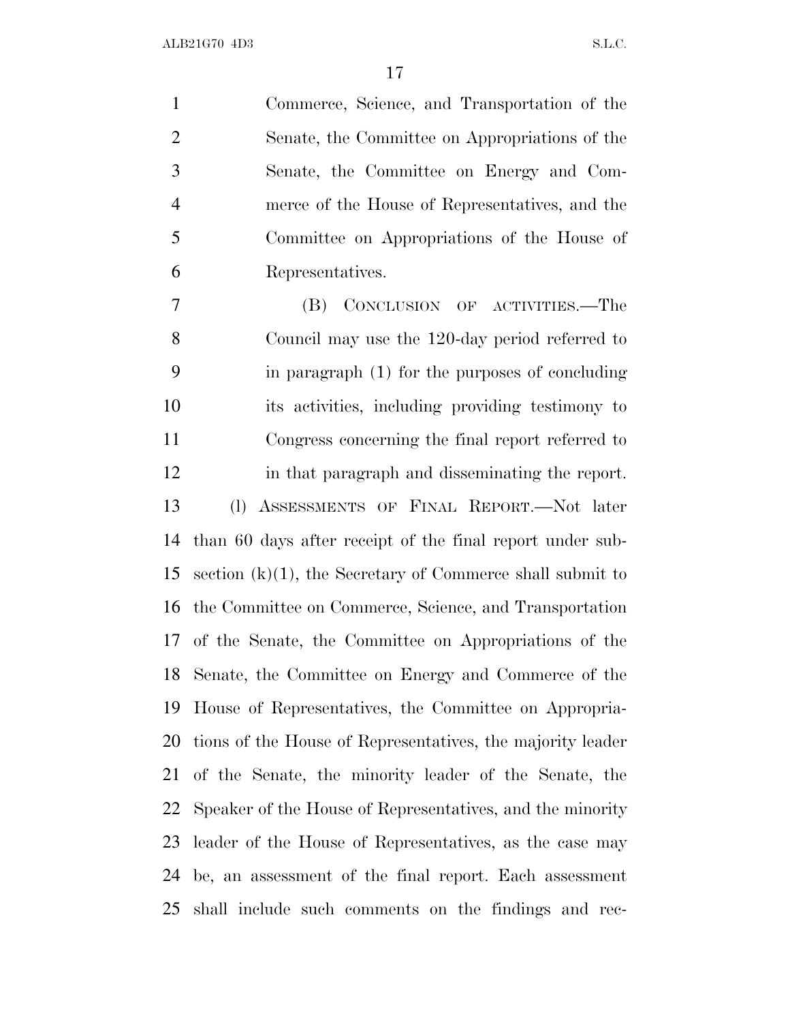Commerce, Science, and Transportation of the Senate, the Committee on Appropriations of the Senate, the Committee on Energy and Com- merce of the House of Representatives, and the Committee on Appropriations of the House of Representatives.

 (B) CONCLUSION OF ACTIVITIES.—The Council may use the 120-day period referred to in paragraph (1) for the purposes of concluding its activities, including providing testimony to Congress concerning the final report referred to in that paragraph and disseminating the report. (l) ASSESSMENTS OF FINAL REPORT.—Not later than 60 days after receipt of the final report under sub- section (k)(1), the Secretary of Commerce shall submit to the Committee on Commerce, Science, and Transportation of the Senate, the Committee on Appropriations of the Senate, the Committee on Energy and Commerce of the House of Representatives, the Committee on Appropria- tions of the House of Representatives, the majority leader of the Senate, the minority leader of the Senate, the Speaker of the House of Representatives, and the minority leader of the House of Representatives, as the case may be, an assessment of the final report. Each assessment shall include such comments on the findings and rec-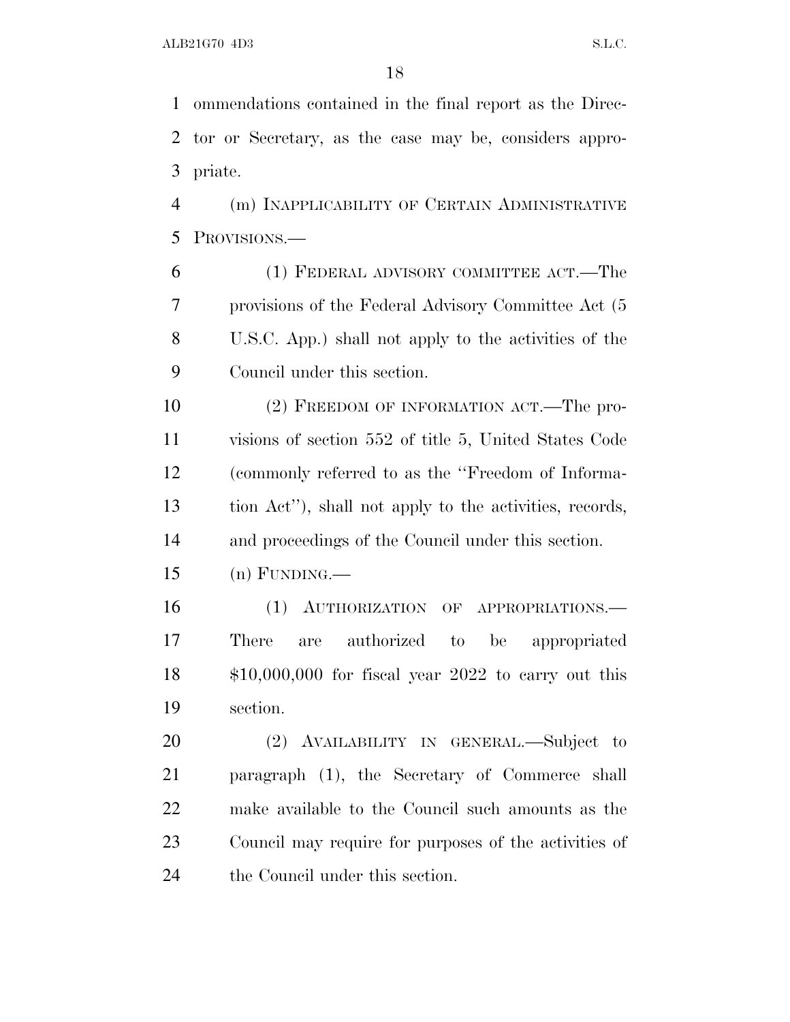ommendations contained in the final report as the Direc- tor or Secretary, as the case may be, considers appro-priate.

 (m) INAPPLICABILITY OF CERTAIN ADMINISTRATIVE PROVISIONS.—

 (1) FEDERAL ADVISORY COMMITTEE ACT.—The provisions of the Federal Advisory Committee Act (5 U.S.C. App.) shall not apply to the activities of the Council under this section.

10 (2) FREEDOM OF INFORMATION ACT.—The pro- visions of section 552 of title 5, United States Code (commonly referred to as the ''Freedom of Informa- tion Act''), shall not apply to the activities, records, and proceedings of the Council under this section.

 $15 \quad (n)$  FUNDING.—

16 (1) AUTHORIZATION OF APPROPRIATIONS. There are authorized to be appropriated \$10,000,000 for fiscal year 2022 to carry out this section.

 (2) AVAILABILITY IN GENERAL.—Subject to paragraph (1), the Secretary of Commerce shall make available to the Council such amounts as the Council may require for purposes of the activities of the Council under this section.